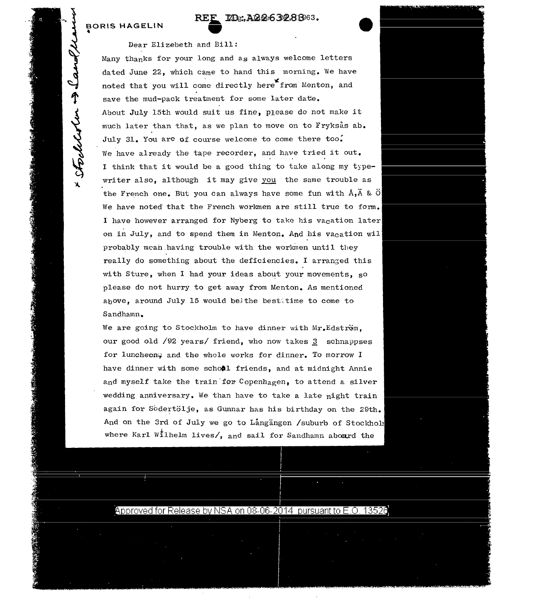## **BORIS HAGELIN**<br>\*

## **RD:, A22632,8663.**

## **REF ID**<br> **Dear Elizebeth and Bill:**

Many thanks for your long and as always welcome letters dated June 22, which came to hand this morning. We have noted that you will come directly here from Menton, and save the mud-pack treatment for some later date. About July 15th would suit us fine, p1ease do not make it much later than that, as we plan to move on to Fryksås ab. July 31. You are of course welcome to come there too. We have already the tape recorder, and have tried it out. I think that it would be a good thing to take along my typewriter also, although it may give you the same trouble as the French one. But you can always have some fun with  $\hat{A}$ ,  $\hat{A}$  &  $\hat{O}$ We have noted that the French workmen are still true to form. I have however arranged for Nyberg to take his vacation later on in July, and to spend them in Menton. And his vacation wil probably mean having trouble with the workmen until they really do something about the deficiencies. I arranged this with Sture, when I had your ideas about your movements, so please do not hurry to get away from Menton. As mentioned above, around July 15 would beithe bestitime to come to Sandhamn.

We are going to Stockholm to have dinner with Mr.Edstrom, our good old  $\sqrt{92}$  years/ friend, who now takes  $\frac{3}{2}$  schnappses for luncheon; and the whole works for dinner. To morrow I have dinner with some school friends, and at midnight Annie and myself take the train for Copenhagen, to attend a silver wedding anniversary. We than have to take a late night train again for Sodertölje, as Gunnar has his birthday on the 29th. And on the 3rd of July we go to Langangen /suburb of Stockhol: where Karl Wilhelm lives/, and sail for Sandhamn abourd the



Approved for Release by NSA on 08-06-2014  $\,$  pursuant to E.O. 13526.